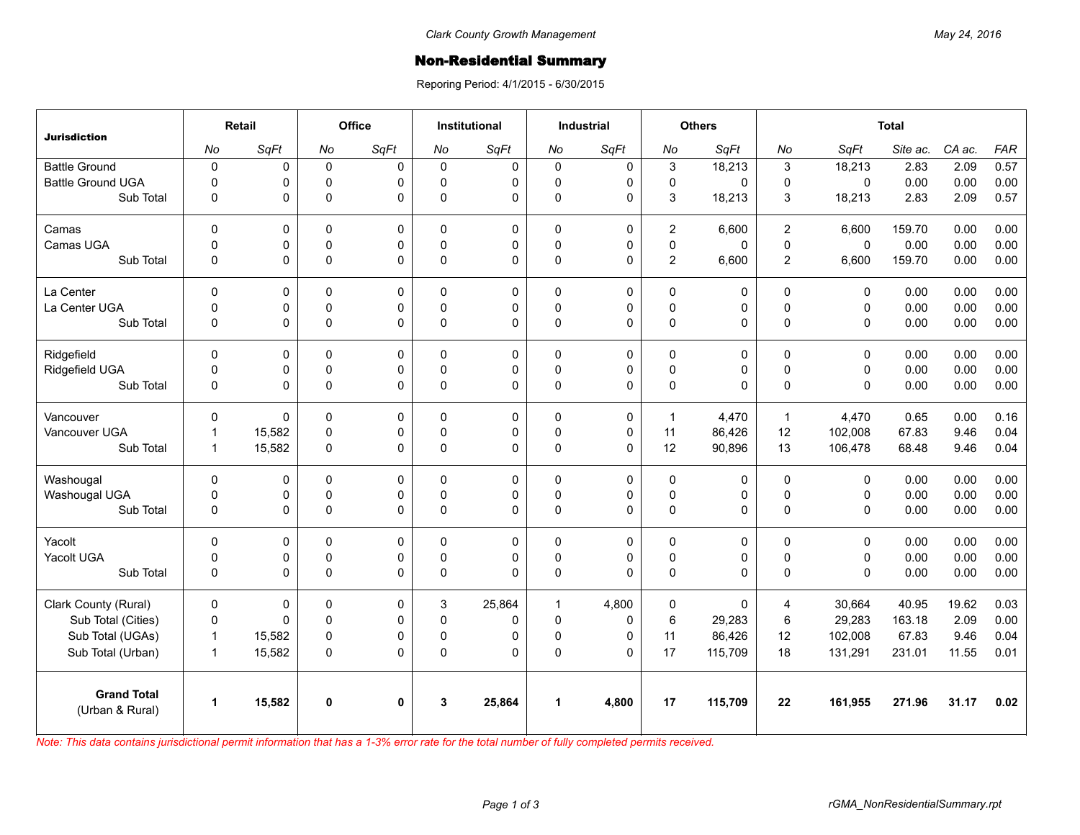## **Non-Residential Summary**

Reporing Period: 4/1/2015 - 6/30/2015

| <b>Jurisdiction</b>                   | Retail               |        | Office      |              | <b>Institutional</b> |             | <b>Industrial</b>    |             | <b>Others</b>       |             | <b>Total</b>   |             |          |        |            |
|---------------------------------------|----------------------|--------|-------------|--------------|----------------------|-------------|----------------------|-------------|---------------------|-------------|----------------|-------------|----------|--------|------------|
|                                       | No                   | SqFt   | No          | SqFt         | No                   | SqFt        | No                   | SqFt        | No                  | SqFt        | No             | SqFt        | Site ac. | CA ac. | <b>FAR</b> |
| <b>Battle Ground</b>                  | $\pmb{0}$            | 0      | $\mathbf 0$ | $\Omega$     | $\Omega$             | $\mathbf 0$ | $\mathbf 0$          | $\mathbf 0$ | 3                   | 18,213      | 3              | 18,213      | 2.83     | 2.09   | 0.57       |
| <b>Battle Ground UGA</b>              | $\Omega$             | 0      | $\mathbf 0$ | $\Omega$     | $\Omega$             | 0           | 0                    | $\mathbf 0$ | $\mathbf 0$         | 0           | $\mathbf 0$    | $\Omega$    | 0.00     | 0.00   | 0.00       |
| Sub Total                             | 0                    | 0      | $\Omega$    | $\Omega$     | $\Omega$             | 0           | 0                    | $\mathbf 0$ | 3                   | 18,213      | 3              | 18,213      | 2.83     | 2.09   | 0.57       |
| Camas                                 | $\Omega$             | 0      | $\Omega$    | $\Omega$     | $\Omega$             | 0           | $\mathbf 0$          | $\mathbf 0$ | $\overline{2}$      | 6,600       | 2              | 6.600       | 159.70   | 0.00   | 0.00       |
| Camas UGA                             | $\mathbf 0$          | 0      | $\pmb{0}$   | 0            | $\Omega$             | 0           | 0                    | 0           | $\pmb{0}$           | 0           | $\pmb{0}$      | $\mathbf 0$ | 0.00     | 0.00   | 0.00       |
| Sub Total                             | $\mathbf{0}$         | 0      | $\pmb{0}$   | $\Omega$     | $\Omega$             | 0           | $\mathbf{0}$         | $\Omega$    | $\overline{2}$      | 6,600       | $\overline{2}$ | 6,600       | 159.70   | 0.00   | 0.00       |
| La Center                             | $\mathbf 0$          | 0      | $\mathbf 0$ | 0            | $\Omega$             | 0           | $\mathbf 0$          | 0           | $\mathsf 0$         | 0           | $\mathbf 0$    | $\mathbf 0$ | 0.00     | 0.00   | 0.00       |
| La Center UGA                         | $\mathbf 0$          | 0      | $\mathbf 0$ | 0            | $\Omega$             | 0           | 0                    | 0           | $\mathbf 0$         | 0           | $\mathbf 0$    | $\mathbf 0$ | 0.00     | 0.00   | 0.00       |
| Sub Total                             | $\mathbf 0$          | 0      | $\pmb{0}$   | $\mathbf 0$  | $\Omega$             | 0           | 0                    | $\mathbf 0$ | $\mathsf{O}\xspace$ | 0           | $\Omega$       | $\Omega$    | 0.00     | 0.00   | 0.00       |
| Ridgefield                            | $\Omega$             | 0      | 0           | $\Omega$     | $\Omega$             | 0           | $\mathbf 0$          | 0           | 0                   | 0           | $\mathbf{0}$   | $\Omega$    | 0.00     | 0.00   | 0.00       |
| Ridgefield UGA                        | $\mathbf 0$          | 0      | $\pmb{0}$   | 0            | $\mathbf{0}$         | 0           | 0                    | 0           | $\pmb{0}$           | 0           | $\pmb{0}$      | $\mathbf 0$ | 0.00     | 0.00   | 0.00       |
| Sub Total                             | $\mathbf 0$          | 0      | $\Omega$    | $\Omega$     | $\Omega$             | 0           | $\mathbf{0}$         | $\Omega$    | $\mathbf 0$         | 0           | $\Omega$       | $\Omega$    | 0.00     | 0.00   | 0.00       |
| Vancouver                             | $\Omega$             | 0      | $\mathbf 0$ | $\Omega$     | $\Omega$             | 0           | $\mathbf 0$          | 0           | $\mathbf{1}$        | 4.470       | $\mathbf{1}$   | 4.470       | 0.65     | 0.00   | 0.16       |
| Vancouver UGA                         | $\mathbf{1}$         | 15,582 | $\mathbf 0$ | 0            | $\Omega$             | 0           | 0                    | 0           | 11                  | 86,426      | 12             | 102,008     | 67.83    | 9.46   | 0.04       |
| Sub Total                             | $\mathbf{1}$         | 15,582 | $\mathbf 0$ | 0            | $\mathbf{0}$         | 0           | 0                    | 0           | 12                  | 90,896      | 13             | 106,478     | 68.48    | 9.46   | 0.04       |
| Washougal                             | $\mathbf{0}$         | 0      | 0           | 0            | 0                    | 0           | $\mathbf 0$          | 0           | 0                   | 0           | $\mathsf 0$    | $\mathbf 0$ | 0.00     | 0.00   | 0.00       |
| Washougal UGA                         | $\mathbf 0$          | 0      | $\mathbf 0$ | 0            | $\Omega$             | 0           | 0                    | 0           | $\mathbf 0$         | 0           | $\pmb{0}$      | $\mathbf 0$ | 0.00     | 0.00   | 0.00       |
| Sub Total                             | 0                    | 0      | $\pmb{0}$   | $\Omega$     | $\Omega$             | 0           | 0                    | $\mathbf 0$ | $\mathsf 0$         | 0           | $\pmb{0}$      | $\mathbf 0$ | 0.00     | 0.00   | 0.00       |
| Yacolt                                | $\Omega$             | 0      | $\mathbf 0$ | $\Omega$     | $\Omega$             | 0           | $\mathbf 0$          | $\mathbf 0$ | $\mathbf 0$         | 0           | $\mathbf 0$    | $\Omega$    | 0.00     | 0.00   | 0.00       |
| Yacolt UGA                            | 0                    | 0      | 0           | 0            | $\Omega$             | 0           | 0                    | 0           | $\mathsf 0$         | 0           | 0              | 0           | 0.00     | 0.00   | 0.00       |
| Sub Total                             | $\mathbf 0$          | 0      | $\Omega$    | $\Omega$     | $\Omega$             | $\Omega$    | $\mathbf{0}$         | $\Omega$    | 0                   | 0           | $\Omega$       | $\Omega$    | 0.00     | 0.00   | 0.00       |
| Clark County (Rural)                  | $\mathbf 0$          | 0      | $\mathbf 0$ | 0            | 3                    | 25,864      | $\mathbf{1}$         | 4,800       | 0                   | $\mathbf 0$ | $\overline{4}$ | 30,664      | 40.95    | 19.62  | 0.03       |
| Sub Total (Cities)                    | $\mathbf 0$          | 0      | $\mathbf 0$ | $\Omega$     | $\Omega$             | 0           | $\mathbf 0$          | $\Omega$    | $\,6$               | 29,283      | 6              | 29,283      | 163.18   | 2.09   | 0.00       |
| Sub Total (UGAs)                      | $\mathbf{1}$         | 15,582 | $\pmb{0}$   | 0            | $\Omega$             | 0           | 0                    | 0           | 11                  | 86,426      | 12             | 102,008     | 67.83    | 9.46   | 0.04       |
| Sub Total (Urban)                     | $\mathbf{1}$         | 15,582 | $\mathbf 0$ | $\Omega$     | 0                    | 0           | 0                    | $\Omega$    | 17                  | 115,709     | 18             | 131,291     | 231.01   | 11.55  | 0.01       |
| <b>Grand Total</b><br>(Urban & Rural) | $\blacktriangleleft$ | 15,582 | $\mathbf 0$ | $\mathbf{0}$ | 3                    | 25,864      | $\blacktriangleleft$ | 4,800       | 17                  | 115,709     | 22             | 161,955     | 271.96   | 31.17  | 0.02       |

*Note: This data contains jurisdictional permit information that has a 1-3% error rate for the total number of fully completed permits received.*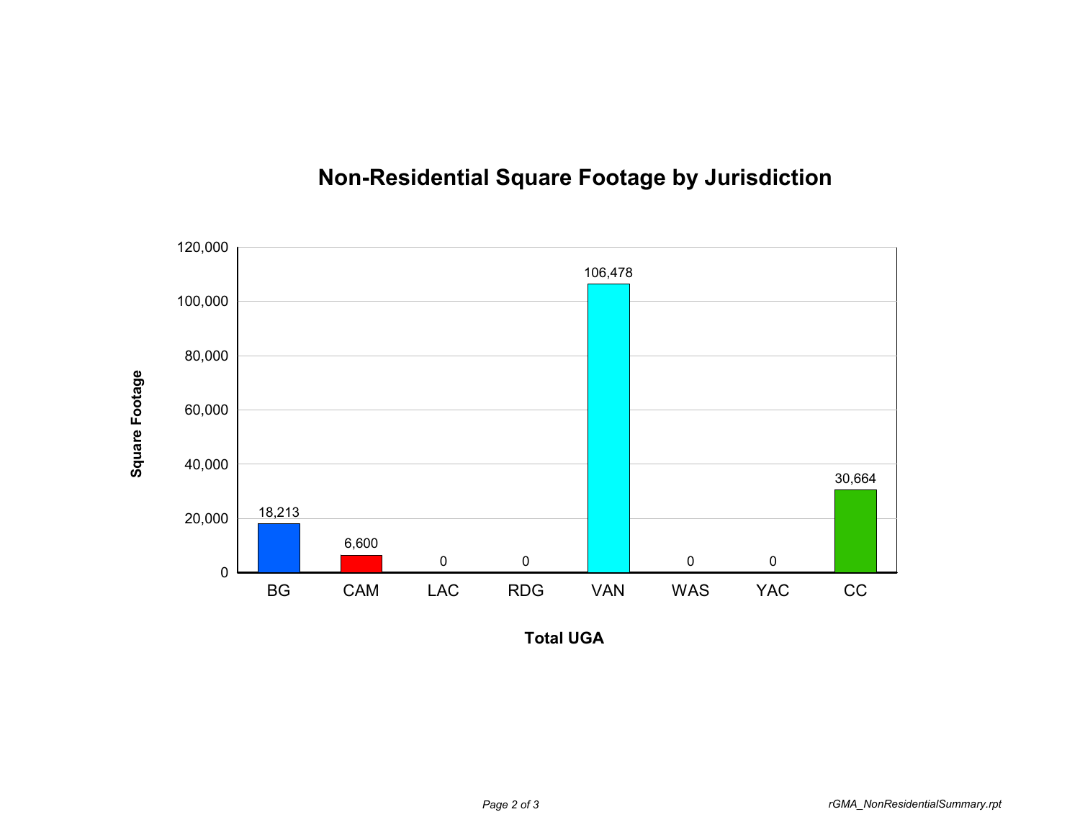

## **Non-Residential Square Footage by Jurisdiction**

**Total UGA**